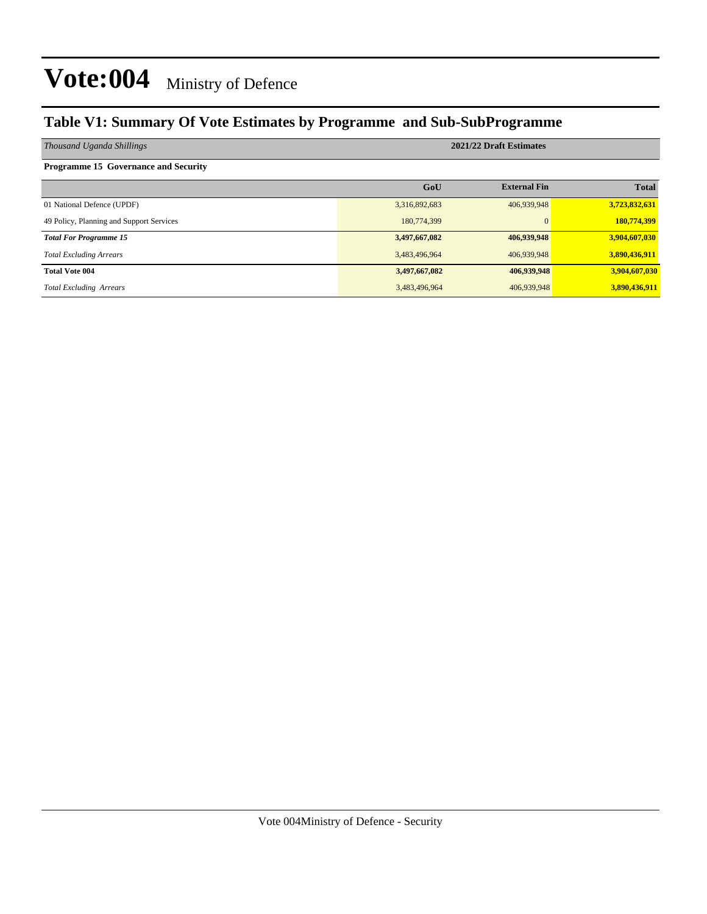### **Table V1: Summary Of Vote Estimates by Programme and Sub-SubProgramme**

| Thousand Uganda Shillings                   | 2021/22 Draft Estimates |                     |               |  |  |  |  |
|---------------------------------------------|-------------------------|---------------------|---------------|--|--|--|--|
| <b>Programme 15 Governance and Security</b> |                         |                     |               |  |  |  |  |
|                                             | GoU                     | <b>External Fin</b> | <b>Total</b>  |  |  |  |  |
| 01 National Defence (UPDF)                  | 3,316,892,683           | 406,939,948         | 3,723,832,631 |  |  |  |  |
| 49 Policy, Planning and Support Services    | 180,774,399             |                     | 180,774,399   |  |  |  |  |
| <b>Total For Programme 15</b>               | 3,497,667,082           | 406,939,948         | 3,904,607,030 |  |  |  |  |
| <b>Total Excluding Arrears</b>              | 3,483,496,964           | 406,939,948         | 3,890,436,911 |  |  |  |  |
| <b>Total Vote 004</b>                       | 3,497,667,082           | 406,939,948         | 3,904,607,030 |  |  |  |  |
| <b>Total Excluding Arrears</b>              | 3,483,496,964           | 406,939,948         | 3,890,436,911 |  |  |  |  |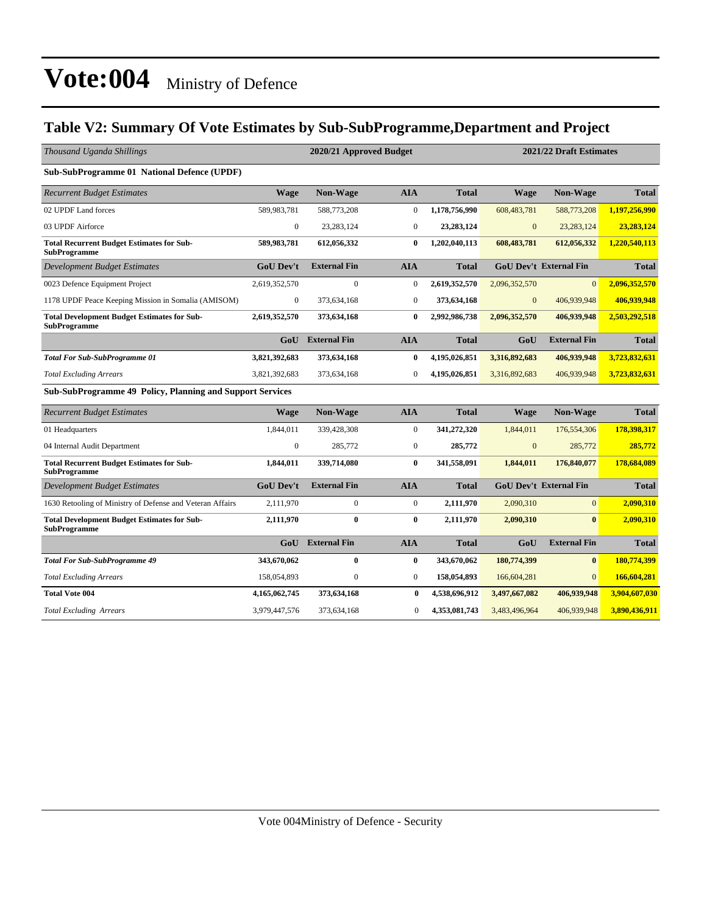### **Table V2: Summary Of Vote Estimates by Sub-SubProgramme,Department and Project**

| Thousand Uganda Shillings                                                 |                  | 2020/21 Approved Budget |                  |               |               | 2021/22 Draft Estimates       |               |  |  |
|---------------------------------------------------------------------------|------------------|-------------------------|------------------|---------------|---------------|-------------------------------|---------------|--|--|
| Sub-SubProgramme 01 National Defence (UPDF)                               |                  |                         |                  |               |               |                               |               |  |  |
| <b>Recurrent Budget Estimates</b>                                         | <b>Wage</b>      | <b>Non-Wage</b>         | <b>AIA</b>       | <b>Total</b>  | <b>Wage</b>   | <b>Non-Wage</b>               | <b>Total</b>  |  |  |
| 02 UPDF Land forces                                                       | 589,983,781      | 588,773,208             | $\boldsymbol{0}$ | 1,178,756,990 | 608,483,781   | 588,773,208                   | 1,197,256,990 |  |  |
| 03 UPDF Airforce                                                          | $\mathbf{0}$     | 23.283.124              | $\theta$         | 23,283,124    | $\mathbf{0}$  | 23, 283, 124                  | 23.283.124    |  |  |
| <b>Total Recurrent Budget Estimates for Sub-</b><br><b>SubProgramme</b>   | 589,983,781      | 612,056,332             | $\bf{0}$         | 1,202,040,113 | 608,483,781   | 612,056,332                   | 1.220.540.113 |  |  |
| <b>Development Budget Estimates</b>                                       | <b>GoU Dev't</b> | <b>External Fin</b>     | <b>AIA</b>       | <b>Total</b>  |               | <b>GoU Dev't External Fin</b> | <b>Total</b>  |  |  |
| 0023 Defence Equipment Project                                            | 2,619,352,570    | $\overline{0}$          | $\mathbf{0}$     | 2,619,352,570 | 2,096,352,570 | $\Omega$                      | 2,096,352,570 |  |  |
| 1178 UPDF Peace Keeping Mission in Somalia (AMISOM)                       | $\boldsymbol{0}$ | 373,634,168             | $\mathbf{0}$     | 373,634,168   | $\mathbf{0}$  | 406,939,948                   | 406,939,948   |  |  |
| <b>Total Development Budget Estimates for Sub-</b><br><b>SubProgramme</b> | 2,619,352,570    | 373,634,168             | $\bf{0}$         | 2,992,986,738 | 2,096,352,570 | 406,939,948                   | 2,503,292,518 |  |  |
|                                                                           |                  | <b>GoU</b> External Fin | <b>AIA</b>       | <b>Total</b>  | GoU           | <b>External Fin</b>           | <b>Total</b>  |  |  |
| <b>Total For Sub-SubProgramme 01</b>                                      | 3,821,392,683    | 373,634,168             | $\bf{0}$         | 4,195,026,851 | 3,316,892,683 | 406,939,948                   | 3,723,832,631 |  |  |
| <b>Total Excluding Arrears</b>                                            | 3,821,392,683    | 373,634,168             | $\boldsymbol{0}$ | 4,195,026,851 | 3,316,892,683 | 406,939,948                   | 3,723,832,631 |  |  |
| Sub-SubProgramme 49 Policy, Planning and Support Services                 |                  |                         |                  |               |               |                               |               |  |  |
| <b>Recurrent Budget Estimates</b>                                         | <b>Wage</b>      | Non-Wage                | <b>AIA</b>       | <b>Total</b>  | <b>Wage</b>   | Non-Wage                      | <b>Total</b>  |  |  |
| 01 Headquarters                                                           | 1,844,011        | 339,428,308             | $\mathbf{0}$     | 341,272,320   | 1,844,011     | 176,554,306                   | 178,398,317   |  |  |
| 04 Internal Audit Department                                              | $\boldsymbol{0}$ | 285,772                 | $\overline{0}$   | 285,772       | $\mathbf{0}$  | 285,772                       | 285,772       |  |  |
| <b>Total Recurrent Budget Estimates for Sub-</b><br>SubProgramme          | 1,844,011        | 339,714,080             | $\bf{0}$         | 341,558,091   | 1,844,011     | 176,840,077                   | 178,684,089   |  |  |
| <b>Development Budget Estimates</b>                                       | <b>GoU Dev't</b> | <b>External Fin</b>     | <b>AIA</b>       | <b>Total</b>  |               | <b>GoU Dev't External Fin</b> | <b>Total</b>  |  |  |
| 1630 Retooling of Ministry of Defense and Veteran Affairs                 | 2,111,970        | $\overline{0}$          | $\mathbf{0}$     | 2,111,970     | 2,090,310     | $\overline{0}$                | 2,090,310     |  |  |
| <b>Total Development Budget Estimates for Sub-</b><br><b>SubProgramme</b> | 2,111,970        | $\bf{0}$                | $\bf{0}$         | 2,111,970     | 2,090,310     | $\mathbf{0}$                  | 2,090,310     |  |  |
|                                                                           | GoU              | <b>External Fin</b>     | <b>AIA</b>       | <b>Total</b>  | GoU           | <b>External Fin</b>           | <b>Total</b>  |  |  |
| <b>Total For Sub-SubProgramme 49</b>                                      | 343,670,062      | $\bf{0}$                | $\bf{0}$         | 343,670,062   | 180,774,399   | $\bf{0}$                      | 180,774,399   |  |  |
| <b>Total Excluding Arrears</b>                                            | 158,054,893      | $\boldsymbol{0}$        | $\mathbf{0}$     | 158,054,893   | 166,604,281   | $\overline{0}$                | 166,604,281   |  |  |
| <b>Total Vote 004</b>                                                     | 4,165,062,745    | 373,634,168             | $\bf{0}$         | 4,538,696,912 | 3,497,667,082 | 406,939,948                   | 3,904,607,030 |  |  |
| <b>Total Excluding Arrears</b>                                            | 3,979,447,576    | 373,634,168             | $\boldsymbol{0}$ | 4,353,081,743 | 3,483,496,964 | 406,939,948                   | 3,890,436,911 |  |  |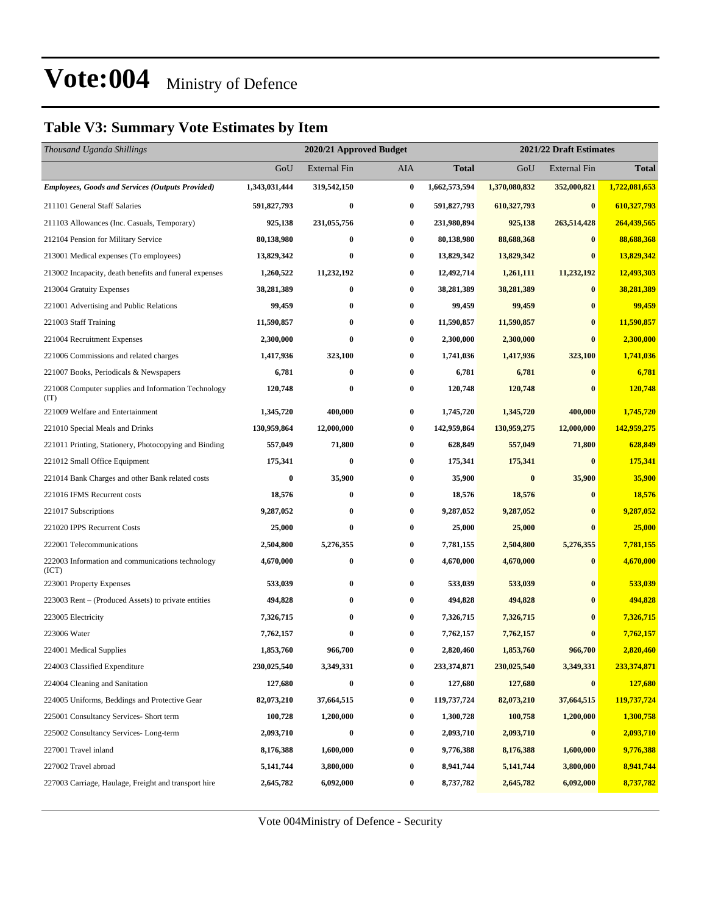### **Table V3: Summary Vote Estimates by Item**

| Thousand Uganda Shillings                                   |               | 2020/21 Approved Budget |                  | 2021/22 Draft Estimates |               |                     |               |  |
|-------------------------------------------------------------|---------------|-------------------------|------------------|-------------------------|---------------|---------------------|---------------|--|
|                                                             | GoU           | <b>External Fin</b>     | AIA              | Total                   | GoU           | <b>External Fin</b> | <b>Total</b>  |  |
| <b>Employees, Goods and Services (Outputs Provided)</b>     | 1,343,031,444 | 319,542,150             | $\bf{0}$         | 1,662,573,594           | 1,370,080,832 | 352,000,821         | 1,722,081,653 |  |
| 211101 General Staff Salaries                               | 591,827,793   | $\bf{0}$                | $\bf{0}$         | 591,827,793             | 610,327,793   | $\bf{0}$            | 610,327,793   |  |
| 211103 Allowances (Inc. Casuals, Temporary)                 | 925,138       | 231,055,756             | 0                | 231,980,894             | 925,138       | 263,514,428         | 264,439,565   |  |
| 212104 Pension for Military Service                         | 80,138,980    | $\bf{0}$                | $\bf{0}$         | 80,138,980              | 88,688,368    | $\bf{0}$            | 88,688,368    |  |
| 213001 Medical expenses (To employees)                      | 13,829,342    | 0                       | $\bf{0}$         | 13,829,342              | 13,829,342    | $\bf{0}$            | 13,829,342    |  |
| 213002 Incapacity, death benefits and funeral expenses      | 1,260,522     | 11,232,192              | $\bf{0}$         | 12,492,714              | 1,261,111     | 11,232,192          | 12,493,303    |  |
| 213004 Gratuity Expenses                                    | 38,281,389    | $\bf{0}$                | $\bf{0}$         | 38,281,389              | 38,281,389    | $\bf{0}$            | 38,281,389    |  |
| 221001 Advertising and Public Relations                     | 99,459        | $\bf{0}$                | 0                | 99,459                  | 99,459        | $\bf{0}$            | 99,459        |  |
| 221003 Staff Training                                       | 11,590,857    | $\bf{0}$                | $\bf{0}$         | 11,590,857              | 11,590,857    | $\bf{0}$            | 11,590,857    |  |
| 221004 Recruitment Expenses                                 | 2,300,000     | $\bf{0}$                | $\bf{0}$         | 2,300,000               | 2,300,000     | $\bf{0}$            | 2,300,000     |  |
| 221006 Commissions and related charges                      | 1,417,936     | 323,100                 | $\bf{0}$         | 1,741,036               | 1,417,936     | 323,100             | 1,741,036     |  |
| 221007 Books, Periodicals & Newspapers                      | 6,781         | $\bf{0}$                | $\bf{0}$         | 6,781                   | 6,781         | $\bf{0}$            | 6,781         |  |
| 221008 Computer supplies and Information Technology<br>(TT) | 120,748       | $\bf{0}$                | 0                | 120,748                 | 120,748       | $\bf{0}$            | 120,748       |  |
| 221009 Welfare and Entertainment                            | 1,345,720     | 400,000                 | $\bf{0}$         | 1,745,720               | 1,345,720     | 400,000             | 1,745,720     |  |
| 221010 Special Meals and Drinks                             | 130,959,864   | 12,000,000              | $\bf{0}$         | 142,959,864             | 130,959,275   | 12,000,000          | 142,959,275   |  |
| 221011 Printing, Stationery, Photocopying and Binding       | 557,049       | 71,800                  | $\bf{0}$         | 628,849                 | 557,049       | 71,800              | 628,849       |  |
| 221012 Small Office Equipment                               | 175,341       | $\bf{0}$                | $\bf{0}$         | 175,341                 | 175,341       | $\bf{0}$            | 175,341       |  |
| 221014 Bank Charges and other Bank related costs            | $\bf{0}$      | 35,900                  | $\bf{0}$         | 35,900                  | $\bf{0}$      | 35,900              | 35,900        |  |
| 221016 IFMS Recurrent costs                                 | 18,576        | $\bf{0}$                | $\bf{0}$         | 18,576                  | 18,576        | $\bf{0}$            | 18,576        |  |
| 221017 Subscriptions                                        | 9,287,052     | $\bf{0}$                | $\bf{0}$         | 9,287,052               | 9,287,052     | $\bf{0}$            | 9,287,052     |  |
| 221020 IPPS Recurrent Costs                                 | 25,000        | $\bf{0}$                | $\bf{0}$         | 25,000                  | 25,000        | $\bf{0}$            | 25,000        |  |
| 222001 Telecommunications                                   | 2,504,800     | 5,276,355               | $\bf{0}$         | 7,781,155               | 2,504,800     | 5,276,355           | 7,781,155     |  |
| 222003 Information and communications technology<br>(ICT)   | 4,670,000     | $\bf{0}$                | $\bf{0}$         | 4,670,000               | 4,670,000     | $\bf{0}$            | 4,670,000     |  |
| 223001 Property Expenses                                    | 533,039       | $\bf{0}$                | $\bf{0}$         | 533,039                 | 533,039       | $\bf{0}$            | 533,039       |  |
| 223003 Rent – (Produced Assets) to private entities         | 494,828       | $\bf{0}$                | 0                | 494,828                 | 494,828       | $\bf{0}$            | 494,828       |  |
| 223005 Electricity                                          | 7,326,715     | $\bf{0}$                | 0                | 7,326,715               | 7,326,715     | $\bf{0}$            | 7,326,715     |  |
| 223006 Water                                                | 7,762,157     | $\bf{0}$                | $\bf{0}$         | 7,762,157               | 7,762,157     | $\mathbf{0}$        | 7,762,157     |  |
| 224001 Medical Supplies                                     | 1,853,760     | 966,700                 | 0                | 2,820,460               | 1,853,760     | 966,700             | 2,820,460     |  |
| 224003 Classified Expenditure                               | 230,025,540   | 3,349,331               | $\bf{0}$         | 233,374,871             | 230,025,540   | 3,349,331           | 233,374,871   |  |
| 224004 Cleaning and Sanitation                              | 127,680       | $\bf{0}$                | $\boldsymbol{0}$ | 127,680                 | 127,680       | $\bf{0}$            | 127,680       |  |
| 224005 Uniforms, Beddings and Protective Gear               | 82,073,210    | 37,664,515              | $\bf{0}$         | 119,737,724             | 82,073,210    | 37,664,515          | 119,737,724   |  |
| 225001 Consultancy Services- Short term                     | 100,728       | 1,200,000               | $\boldsymbol{0}$ | 1,300,728               | 100,758       | 1,200,000           | 1,300,758     |  |
| 225002 Consultancy Services-Long-term                       | 2,093,710     | $\bf{0}$                | 0                | 2,093,710               | 2,093,710     | $\bf{0}$            | 2,093,710     |  |
| 227001 Travel inland                                        | 8,176,388     | 1,600,000               | $\bf{0}$         | 9,776,388               | 8,176,388     | 1,600,000           | 9,776,388     |  |
| 227002 Travel abroad                                        | 5,141,744     | 3,800,000               | $\bf{0}$         | 8,941,744               | 5,141,744     | 3,800,000           | 8,941,744     |  |
| 227003 Carriage, Haulage, Freight and transport hire        | 2,645,782     | 6,092,000               | 0                | 8,737,782               | 2,645,782     | 6,092,000           | 8,737,782     |  |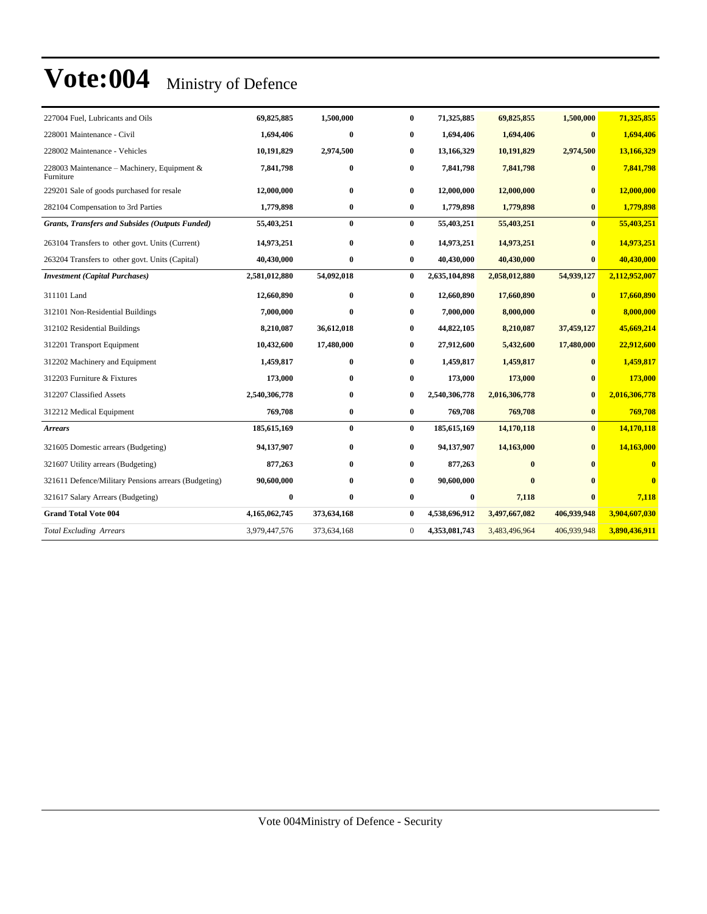| 227004 Fuel, Lubricants and Oils                         | 69,825,885    | 1,500,000    | $\mathbf{0}$     | 71,325,885    | 69,825,855    | 1,500,000    | 71,325,855     |
|----------------------------------------------------------|---------------|--------------|------------------|---------------|---------------|--------------|----------------|
| 228001 Maintenance - Civil                               | 1,694,406     | $\bf{0}$     | $\bf{0}$         | 1,694,406     | 1,694,406     | $\mathbf{0}$ | 1,694,406      |
| 228002 Maintenance - Vehicles                            | 10,191,829    | 2,974,500    | $\bf{0}$         | 13,166,329    | 10,191,829    | 2,974,500    | 13,166,329     |
| 228003 Maintenance – Machinery, Equipment &<br>Furniture | 7,841,798     | $\bf{0}$     | 0                | 7,841,798     | 7,841,798     | $\bf{0}$     | 7,841,798      |
| 229201 Sale of goods purchased for resale                | 12,000,000    | $\mathbf{0}$ | $\bf{0}$         | 12,000,000    | 12,000,000    | $\mathbf{0}$ | 12,000,000     |
| 282104 Compensation to 3rd Parties                       | 1,779,898     | $\bf{0}$     | $\bf{0}$         | 1,779,898     | 1,779,898     | $\mathbf{0}$ | 1,779,898      |
| <b>Grants, Transfers and Subsides (Outputs Funded)</b>   | 55,403,251    | $\bf{0}$     | $\bf{0}$         | 55,403,251    | 55,403,251    | $\bf{0}$     | 55,403,251     |
| 263104 Transfers to other govt. Units (Current)          | 14,973,251    | $\bf{0}$     | $\bf{0}$         | 14,973,251    | 14,973,251    | $\mathbf{0}$ | 14,973,251     |
| 263204 Transfers to other govt. Units (Capital)          | 40,430,000    | $\bf{0}$     | $\bf{0}$         | 40,430,000    | 40,430,000    | $\bf{0}$     | 40,430,000     |
| <b>Investment</b> (Capital Purchases)                    | 2,581,012,880 | 54,092,018   | $\bf{0}$         | 2,635,104,898 | 2,058,012,880 | 54,939,127   | 2,112,952,007  |
| 311101 Land                                              | 12,660,890    | $\bf{0}$     | $\bf{0}$         | 12,660,890    | 17,660,890    | $\mathbf{0}$ | 17,660,890     |
| 312101 Non-Residential Buildings                         | 7,000,000     | $\bf{0}$     | $\bf{0}$         | 7,000,000     | 8,000,000     | $\mathbf{0}$ | 8,000,000      |
| 312102 Residential Buildings                             | 8,210,087     | 36,612,018   | $\bf{0}$         | 44,822,105    | 8,210,087     | 37,459,127   | 45,669,214     |
| 312201 Transport Equipment                               | 10,432,600    | 17,480,000   | $\bf{0}$         | 27,912,600    | 5,432,600     | 17,480,000   | 22,912,600     |
| 312202 Machinery and Equipment                           | 1,459,817     | $\bf{0}$     | 0                | 1,459,817     | 1,459,817     | $\mathbf{0}$ | 1,459,817      |
| 312203 Furniture & Fixtures                              | 173,000       | $\bf{0}$     | $\bf{0}$         | 173,000       | 173,000       | $\mathbf{0}$ | 173,000        |
| 312207 Classified Assets                                 | 2,540,306,778 | $\mathbf{0}$ | $\bf{0}$         | 2,540,306,778 | 2,016,306,778 | $\mathbf{0}$ | 2,016,306,778  |
| 312212 Medical Equipment                                 | 769,708       | $\bf{0}$     | $\bf{0}$         | 769,708       | 769,708       | $\bf{0}$     | 769,708        |
| <b>Arrears</b>                                           | 185,615,169   | $\bf{0}$     | $\bf{0}$         | 185,615,169   | 14,170,118    | $\bf{0}$     | 14,170,118     |
| 321605 Domestic arrears (Budgeting)                      | 94,137,907    | $\bf{0}$     | $\bf{0}$         | 94,137,907    | 14,163,000    | $\mathbf{0}$ | 14,163,000     |
| 321607 Utility arrears (Budgeting)                       | 877,263       | $\mathbf{0}$ | $\bf{0}$         | 877,263       | $\mathbf{0}$  |              | $\overline{0}$ |
| 321611 Defence/Military Pensions arrears (Budgeting)     | 90,600,000    | $\bf{0}$     | $\bf{0}$         | 90,600,000    | $\mathbf{0}$  |              | $\bf{0}$       |
| 321617 Salary Arrears (Budgeting)                        | $\bf{0}$      | $\mathbf{0}$ | $\bf{0}$         | 0             | 7,118         | $\mathbf{0}$ | 7,118          |
| <b>Grand Total Vote 004</b>                              | 4,165,062,745 | 373,634,168  | $\bf{0}$         | 4,538,696,912 | 3,497,667,082 | 406,939,948  | 3,904,607,030  |
| <b>Total Excluding Arrears</b>                           | 3,979,447,576 | 373,634,168  | $\boldsymbol{0}$ | 4,353,081,743 | 3,483,496,964 | 406,939,948  | 3,890,436,911  |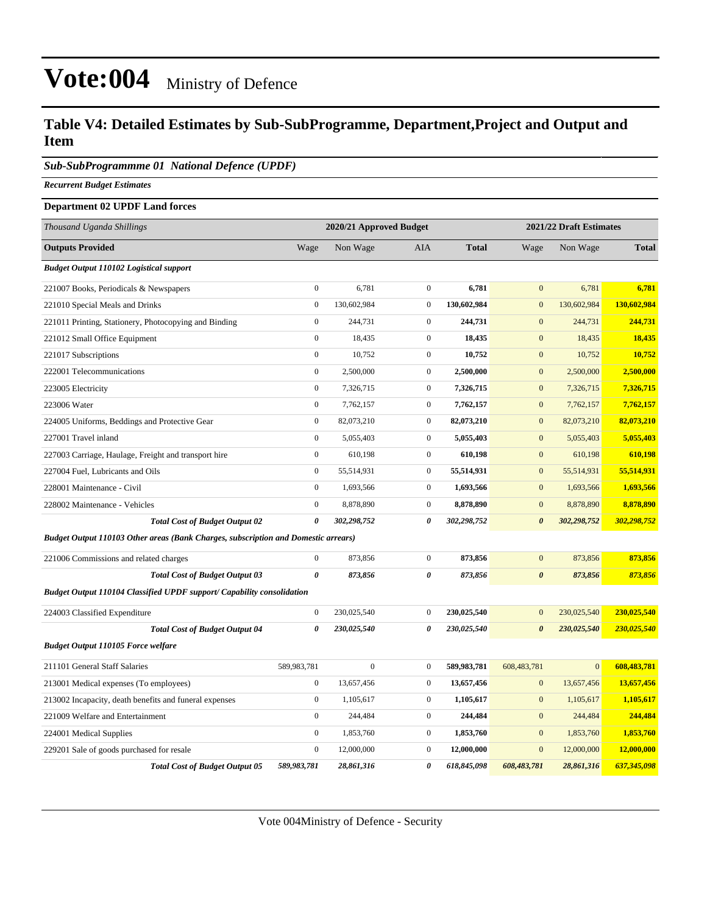#### **Table V4: Detailed Estimates by Sub-SubProgramme, Department,Project and Output and Item**

#### *Sub-SubProgrammme 01 National Defence (UPDF)*

*Recurrent Budget Estimates*

#### **Department 02 UPDF Land forces**

| Thousand Uganda Shillings                                                                 |                       | 2020/21 Approved Budget |                  |              |                       | 2021/22 Draft Estimates |              |
|-------------------------------------------------------------------------------------------|-----------------------|-------------------------|------------------|--------------|-----------------------|-------------------------|--------------|
| <b>Outputs Provided</b>                                                                   | Wage                  | Non Wage                | AIA              | <b>Total</b> | Wage                  | Non Wage                | <b>Total</b> |
| <b>Budget Output 110102 Logistical support</b>                                            |                       |                         |                  |              |                       |                         |              |
| 221007 Books, Periodicals & Newspapers                                                    | $\boldsymbol{0}$      | 6,781                   | $\overline{0}$   | 6,781        | $\mathbf{0}$          | 6,781                   | 6,781        |
| 221010 Special Meals and Drinks                                                           | $\boldsymbol{0}$      | 130,602,984             | $\boldsymbol{0}$ | 130,602,984  | $\mathbf{0}$          | 130,602,984             | 130,602,984  |
| 221011 Printing, Stationery, Photocopying and Binding                                     | $\mathbf{0}$          | 244,731                 | $\overline{0}$   | 244,731      | $\mathbf{0}$          | 244,731                 | 244,731      |
| 221012 Small Office Equipment                                                             | $\boldsymbol{0}$      | 18,435                  | $\overline{0}$   | 18,435       | $\mathbf{0}$          | 18,435                  | 18,435       |
| 221017 Subscriptions                                                                      | $\boldsymbol{0}$      | 10,752                  | $\overline{0}$   | 10,752       | $\boldsymbol{0}$      | 10,752                  | 10,752       |
| 222001 Telecommunications                                                                 | $\boldsymbol{0}$      | 2,500,000               | $\overline{0}$   | 2,500,000    | $\boldsymbol{0}$      | 2,500,000               | 2,500,000    |
| 223005 Electricity                                                                        | $\mathbf{0}$          | 7,326,715               | $\overline{0}$   | 7,326,715    | $\mathbf{0}$          | 7,326,715               | 7,326,715    |
| 223006 Water                                                                              | $\mathbf{0}$          | 7,762,157               | $\overline{0}$   | 7,762,157    | $\mathbf{0}$          | 7,762,157               | 7,762,157    |
| 224005 Uniforms, Beddings and Protective Gear                                             | $\boldsymbol{0}$      | 82,073,210              | $\mathbf{0}$     | 82,073,210   | $\mathbf{0}$          | 82,073,210              | 82,073,210   |
| 227001 Travel inland                                                                      | $\mathbf{0}$          | 5,055,403               | $\overline{0}$   | 5,055,403    | $\mathbf{0}$          | 5,055,403               | 5,055,403    |
| 227003 Carriage, Haulage, Freight and transport hire                                      | $\mathbf{0}$          | 610,198                 | $\overline{0}$   | 610,198      | $\mathbf{0}$          | 610,198                 | 610,198      |
| 227004 Fuel, Lubricants and Oils                                                          | $\boldsymbol{0}$      | 55,514,931              | $\mathbf{0}$     | 55,514,931   | $\mathbf{0}$          | 55,514,931              | 55,514,931   |
| 228001 Maintenance - Civil                                                                | $\mathbf{0}$          | 1,693,566               | $\overline{0}$   | 1,693,566    | $\mathbf{0}$          | 1,693,566               | 1,693,566    |
| 228002 Maintenance - Vehicles                                                             | $\mathbf{0}$          | 8,878,890               | $\overline{0}$   | 8,878,890    | $\mathbf{0}$          | 8,878,890               | 8,878,890    |
| <b>Total Cost of Budget Output 02</b>                                                     | 0                     | 302,298,752             | 0                | 302,298,752  | $\boldsymbol{\theta}$ | 302,298,752             | 302,298,752  |
| <b>Budget Output 110103 Other areas (Bank Charges, subscription and Domestic arrears)</b> |                       |                         |                  |              |                       |                         |              |
| 221006 Commissions and related charges                                                    | $\mathbf{0}$          | 873,856                 | $\overline{0}$   | 873,856      | $\mathbf{0}$          | 873,856                 | 873,856      |
| <b>Total Cost of Budget Output 03</b>                                                     | $\boldsymbol{\theta}$ | 873,856                 | 0                | 873,856      | $\boldsymbol{\theta}$ | 873,856                 | 873,856      |
| Budget Output 110104 Classified UPDF support/ Capability consolidation                    |                       |                         |                  |              |                       |                         |              |
| 224003 Classified Expenditure                                                             | $\boldsymbol{0}$      | 230,025,540             | $\mathbf{0}$     | 230,025,540  | $\mathbf{0}$          | 230,025,540             | 230,025,540  |
| <b>Total Cost of Budget Output 04</b>                                                     | $\boldsymbol{\theta}$ | 230,025,540             | 0                | 230,025,540  | $\boldsymbol{\theta}$ | 230,025,540             | 230,025,540  |
| <b>Budget Output 110105 Force welfare</b>                                                 |                       |                         |                  |              |                       |                         |              |
| 211101 General Staff Salaries                                                             | 589,983,781           | $\boldsymbol{0}$        | $\boldsymbol{0}$ | 589,983,781  | 608,483,781           | $\mathbf{0}$            | 608,483,781  |
| 213001 Medical expenses (To employees)                                                    | $\boldsymbol{0}$      | 13,657,456              | $\overline{0}$   | 13,657,456   | $\mathbf{0}$          | 13,657,456              | 13,657,456   |
| 213002 Incapacity, death benefits and funeral expenses                                    | $\mathbf{0}$          | 1,105,617               | $\mathbf{0}$     | 1,105,617    | $\mathbf{0}$          | 1,105,617               | 1,105,617    |
| 221009 Welfare and Entertainment                                                          | $\boldsymbol{0}$      | 244,484                 | $\mathbf{0}$     | 244,484      | $\mathbf{0}$          | 244,484                 | 244,484      |
| 224001 Medical Supplies                                                                   | $\mathbf{0}$          | 1,853,760               | $\overline{0}$   | 1,853,760    | $\mathbf{0}$          | 1,853,760               | 1,853,760    |
| 229201 Sale of goods purchased for resale                                                 | $\boldsymbol{0}$      | 12,000,000              | $\overline{0}$   | 12,000,000   | $\mathbf{0}$          | 12,000,000              | 12,000,000   |
| <b>Total Cost of Budget Output 05</b>                                                     | 589,983,781           | 28,861,316              | 0                | 618,845,098  | 608,483,781           | 28,861,316              | 637,345,098  |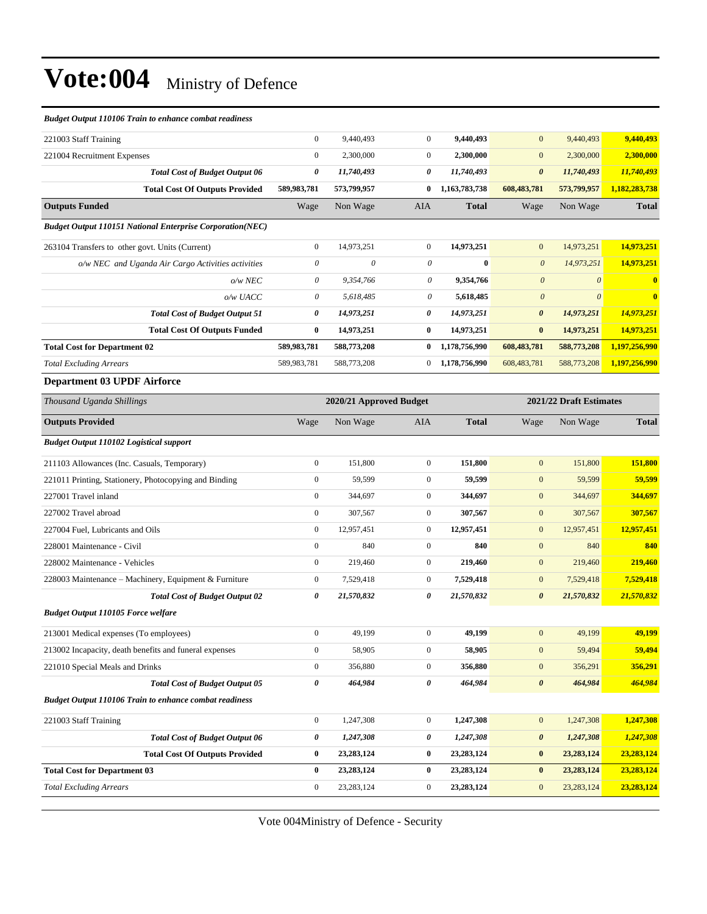| <b>Budget Output 110106 Train to enhance combat readiness</b>    |                |                         |              |               |                           |                         |                |
|------------------------------------------------------------------|----------------|-------------------------|--------------|---------------|---------------------------|-------------------------|----------------|
| 221003 Staff Training                                            | $\overline{0}$ | 9,440,493               | $\mathbf{0}$ | 9,440,493     | $\mathbf{0}$              | 9,440,493               | 9,440,493      |
| 221004 Recruitment Expenses                                      | $\mathbf{0}$   | 2,300,000               | $\mathbf{0}$ | 2,300,000     | $\mathbf{0}$              | 2,300,000               | 2,300,000      |
| <b>Total Cost of Budget Output 06</b>                            | 0              | 11,740,493              | 0            | 11,740,493    | $\boldsymbol{\theta}$     | 11,740,493              | 11,740,493     |
| <b>Total Cost Of Outputs Provided</b>                            | 589,983,781    | 573,799,957             | $\bf{0}$     | 1,163,783,738 | 608,483,781               | 573,799,957             | 1,182,283,738  |
| <b>Outputs Funded</b>                                            | Wage           | Non Wage                | <b>AIA</b>   | <b>Total</b>  | Wage                      | Non Wage                | <b>Total</b>   |
| <b>Budget Output 110151 National Enterprise Corporation(NEC)</b> |                |                         |              |               |                           |                         |                |
| 263104 Transfers to other govt. Units (Current)                  | $\overline{0}$ | 14,973,251              | $\mathbf{0}$ | 14,973,251    | $\mathbf{0}$              | 14,973,251              | 14,973,251     |
| o/w NEC and Uganda Air Cargo Activities activities               | 0              | $\theta$                | 0            | 0             | $\boldsymbol{\theta}$     | 14,973,251              | 14,973,251     |
| $o/w$ NEC                                                        | 0              | 9,354,766               | 0            | 9,354,766     | $\boldsymbol{\theta}$     | $\theta$                | $\bf{0}$       |
| o/w UACC                                                         | 0              | 5,618,485               | 0            | 5,618,485     | $\boldsymbol{\mathit{0}}$ | $\theta$                | $\overline{0}$ |
| <b>Total Cost of Budget Output 51</b>                            | 0              | 14,973,251              | 0            | 14,973,251    | $\boldsymbol{\theta}$     | 14,973,251              | 14,973,251     |
| <b>Total Cost Of Outputs Funded</b>                              | 0              | 14,973,251              | $\bf{0}$     | 14,973,251    | $\bf{0}$                  | 14,973,251              | 14,973,251     |
| <b>Total Cost for Department 02</b>                              | 589,983,781    | 588,773,208             | 0            | 1,178,756,990 | 608,483,781               | 588,773,208             | 1,197,256,990  |
| <b>Total Excluding Arrears</b>                                   | 589,983,781    | 588,773,208             | $\bf{0}$     | 1,178,756,990 | 608,483,781               | 588,773,208             | 1,197,256,990  |
| <b>Department 03 UPDF Airforce</b>                               |                |                         |              |               |                           |                         |                |
| Thousand Uganda Shillings                                        |                | 2020/21 Approved Budget |              |               |                           | 2021/22 Draft Estimates |                |
| <b>Outputs Provided</b>                                          | Wage           | Non Wage                | AIA          | Total         | Wage                      | Non Wage                | Total          |

| <b>Outputs Provided</b>                                       | Wage         | Non Wage     | <b>AIA</b>     | <b>Total</b> | Wage                  | Non Wage     | <b>Total</b> |
|---------------------------------------------------------------|--------------|--------------|----------------|--------------|-----------------------|--------------|--------------|
| <b>Budget Output 110102 Logistical support</b>                |              |              |                |              |                       |              |              |
| 211103 Allowances (Inc. Casuals, Temporary)                   | $\mathbf{0}$ | 151,800      | $\overline{0}$ | 151,800      | $\mathbf{0}$          | 151,800      | 151,800      |
| 221011 Printing, Stationery, Photocopying and Binding         | $\mathbf{0}$ | 59,599       | $\mathbf{0}$   | 59,599       | $\mathbf{0}$          | 59,599       | 59,599       |
| 227001 Travel inland                                          | $\mathbf{0}$ | 344,697      | $\mathbf{0}$   | 344,697      | $\mathbf{0}$          | 344,697      | 344,697      |
| 227002 Travel abroad                                          | $\mathbf{0}$ | 307,567      | $\overline{0}$ | 307,567      | $\mathbf{0}$          | 307,567      | 307,567      |
| 227004 Fuel, Lubricants and Oils                              | $\mathbf{0}$ | 12,957,451   | $\mathbf{0}$   | 12,957,451   | $\mathbf{0}$          | 12,957,451   | 12,957,451   |
| 228001 Maintenance - Civil                                    | $\mathbf{0}$ | 840          | $\mathbf{0}$   | 840          | $\mathbf{0}$          | 840          | 840          |
| 228002 Maintenance - Vehicles                                 | $\mathbf{0}$ | 219,460      | $\overline{0}$ | 219,460      | $\overline{0}$        | 219,460      | 219,460      |
| 228003 Maintenance – Machinery, Equipment & Furniture         | $\mathbf{0}$ | 7,529,418    | $\overline{0}$ | 7,529,418    | $\mathbf{0}$          | 7,529,418    | 7,529,418    |
| <b>Total Cost of Budget Output 02</b>                         | 0            | 21,570,832   | 0              | 21,570,832   | $\boldsymbol{\theta}$ | 21,570,832   | 21,570,832   |
| <b>Budget Output 110105 Force welfare</b>                     |              |              |                |              |                       |              |              |
| 213001 Medical expenses (To employees)                        | $\mathbf{0}$ | 49,199       | $\Omega$       | 49,199       | $\mathbf{0}$          | 49,199       | 49,199       |
| 213002 Incapacity, death benefits and funeral expenses        | $\mathbf{0}$ | 58,905       | $\mathbf{0}$   | 58,905       | $\mathbf{0}$          | 59,494       | 59,494       |
| 221010 Special Meals and Drinks                               | $\mathbf{0}$ | 356,880      | $\mathbf{0}$   | 356,880      | $\mathbf{0}$          | 356,291      | 356,291      |
| <b>Total Cost of Budget Output 05</b>                         | 0            | 464,984      | 0              | 464,984      | $\boldsymbol{\theta}$ | 464,984      | 464,984      |
| <b>Budget Output 110106 Train to enhance combat readiness</b> |              |              |                |              |                       |              |              |
| 221003 Staff Training                                         | $\mathbf{0}$ | 1,247,308    | $\mathbf{0}$   | 1,247,308    | $\mathbf{0}$          | 1,247,308    | 1,247,308    |
| <b>Total Cost of Budget Output 06</b>                         | 0            | 1,247,308    | 0              | 1,247,308    | $\boldsymbol{\theta}$ | 1,247,308    | 1,247,308    |
| <b>Total Cost Of Outputs Provided</b>                         | $\bf{0}$     | 23, 283, 124 | $\bf{0}$       | 23, 283, 124 | $\bf{0}$              | 23, 283, 124 | 23,283,124   |
| <b>Total Cost for Department 03</b>                           | $\bf{0}$     | 23, 283, 124 | $\bf{0}$       | 23, 283, 124 | $\bf{0}$              | 23, 283, 124 | 23,283,124   |
| <b>Total Excluding Arrears</b>                                | $\mathbf{0}$ | 23, 283, 124 | $\mathbf{0}$   | 23, 283, 124 | $\mathbf{0}$          | 23, 283, 124 | 23,283,124   |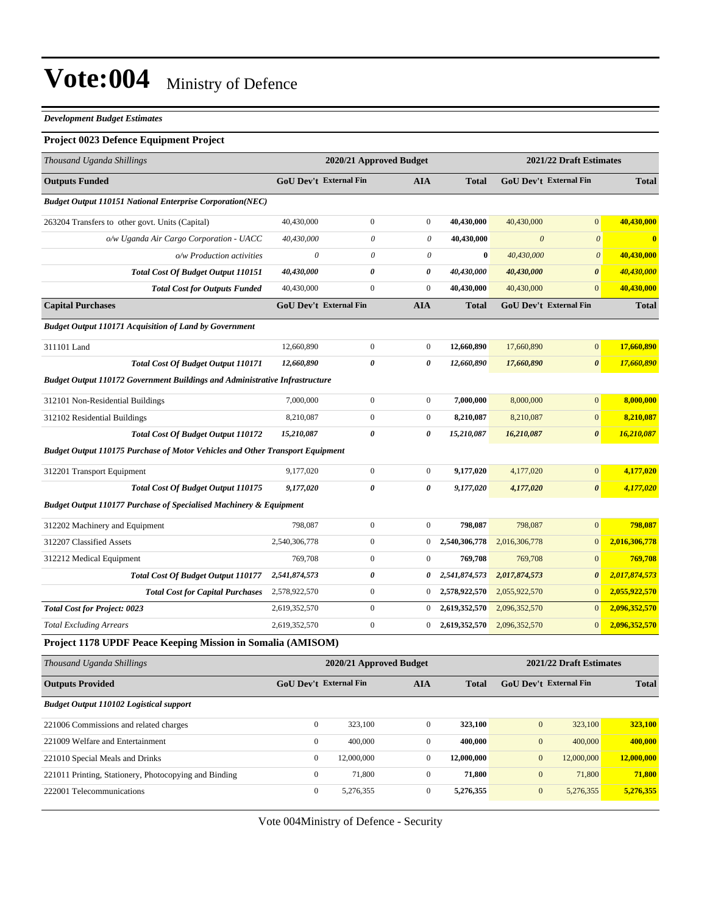#### *Development Budget Estimates*

#### **Project 0023 Defence Equipment Project**

| Thousand Uganda Shillings                                                            |                           | 2020/21 Approved Budget       |                       |               |                       | 2021/22 Draft Estimates       |               |
|--------------------------------------------------------------------------------------|---------------------------|-------------------------------|-----------------------|---------------|-----------------------|-------------------------------|---------------|
| <b>Outputs Funded</b>                                                                |                           | <b>GoU Dev't External Fin</b> | <b>AIA</b>            | <b>Total</b>  |                       | <b>GoU Dev't External Fin</b> | <b>Total</b>  |
| <b>Budget Output 110151 National Enterprise Corporation(NEC)</b>                     |                           |                               |                       |               |                       |                               |               |
| 263204 Transfers to other govt. Units (Capital)                                      | 40,430,000                | $\boldsymbol{0}$              | $\boldsymbol{0}$      | 40,430,000    | 40,430,000            | $\overline{0}$                | 40,430,000    |
| o/w Uganda Air Cargo Corporation - UACC                                              | 40,430,000                | $\boldsymbol{\theta}$         | $\theta$              | 40,430,000    | $\boldsymbol{\theta}$ | $\boldsymbol{\theta}$         | $\bf{0}$      |
| o/w Production activities                                                            | $\boldsymbol{\mathit{0}}$ | $\theta$                      | 0                     | $\bf{0}$      | 40,430,000            | $\boldsymbol{\theta}$         | 40,430,000    |
| <b>Total Cost Of Budget Output 110151</b>                                            | 40,430,000                | 0                             | 0                     | 40,430,000    | 40,430,000            | $\boldsymbol{\theta}$         | 40,430,000    |
| <b>Total Cost for Outputs Funded</b>                                                 | 40,430,000                | $\boldsymbol{0}$              | $\boldsymbol{0}$      | 40,430,000    | 40,430,000            | $\mathbf{0}$                  | 40,430,000    |
| <b>Capital Purchases</b>                                                             |                           | <b>GoU Dev't External Fin</b> | <b>AIA</b>            | <b>Total</b>  |                       | <b>GoU Dev't External Fin</b> | <b>Total</b>  |
| <b>Budget Output 110171 Acquisition of Land by Government</b>                        |                           |                               |                       |               |                       |                               |               |
| 311101 Land                                                                          | 12,660,890                | $\boldsymbol{0}$              | $\boldsymbol{0}$      | 12,660,890    | 17,660,890            | $\boldsymbol{0}$              | 17,660,890    |
| <b>Total Cost Of Budget Output 110171</b>                                            | 12,660,890                | 0                             | $\boldsymbol{\theta}$ | 12,660,890    | 17,660,890            | $\boldsymbol{\theta}$         | 17,660,890    |
| <b>Budget Output 110172 Government Buildings and Administrative Infrastructure</b>   |                           |                               |                       |               |                       |                               |               |
| 312101 Non-Residential Buildings                                                     | 7,000,000                 | $\boldsymbol{0}$              | $\boldsymbol{0}$      | 7,000,000     | 8,000,000             | $\boldsymbol{0}$              | 8,000,000     |
| 312102 Residential Buildings                                                         | 8,210,087                 | $\boldsymbol{0}$              | $\boldsymbol{0}$      | 8,210,087     | 8,210,087             | $\mathbf{0}$                  | 8,210,087     |
| <b>Total Cost Of Budget Output 110172</b>                                            | 15,210,087                | 0                             | 0                     | 15,210,087    | 16,210,087            | $\boldsymbol{\theta}$         | 16,210,087    |
| <b>Budget Output 110175 Purchase of Motor Vehicles and Other Transport Equipment</b> |                           |                               |                       |               |                       |                               |               |
| 312201 Transport Equipment                                                           | 9,177,020                 | $\boldsymbol{0}$              | $\boldsymbol{0}$      | 9,177,020     | 4,177,020             | $\boldsymbol{0}$              | 4,177,020     |
| <b>Total Cost Of Budget Output 110175</b>                                            | 9,177,020                 | 0                             | $\boldsymbol{\theta}$ | 9,177,020     | 4,177,020             | $\boldsymbol{\theta}$         | 4,177,020     |
| <b>Budget Output 110177 Purchase of Specialised Machinery &amp; Equipment</b>        |                           |                               |                       |               |                       |                               |               |
| 312202 Machinery and Equipment                                                       | 798,087                   | $\boldsymbol{0}$              | $\mathbf{0}$          | 798,087       | 798,087               | $\mathbf{0}$                  | 798,087       |
| 312207 Classified Assets                                                             | 2,540,306,778             | $\mathbf{0}$                  | $\mathbf{0}$          | 2,540,306,778 | 2,016,306,778         | $\mathbf{0}$                  | 2,016,306,778 |
| 312212 Medical Equipment                                                             | 769,708                   | $\mathbf{0}$                  | $\mathbf{0}$          | 769,708       | 769,708               | $\boldsymbol{0}$              | 769,708       |
| <b>Total Cost Of Budget Output 110177</b>                                            | 2,541,874,573             | 0                             | 0                     | 2,541,874,573 | 2,017,874,573         | 0                             | 2,017,874,573 |
| <b>Total Cost for Capital Purchases</b>                                              | 2,578,922,570             | $\boldsymbol{0}$              | $\mathbf{0}$          | 2,578,922,570 | 2,055,922,570         | $\mathbf{0}$                  | 2,055,922,570 |
| <b>Total Cost for Project: 0023</b>                                                  | 2,619,352,570             | $\boldsymbol{0}$              | $\mathbf{0}$          | 2,619,352,570 | 2,096,352,570         | $\mathbf{0}$                  | 2,096,352,570 |
| <b>Total Excluding Arrears</b>                                                       | 2,619,352,570             | $\mathbf{0}$                  | $\mathbf{0}$          | 2,619,352,570 | 2,096,352,570         | $\boldsymbol{0}$              | 2,096,352,570 |
| Project 1178 UPDF Peace Keeping Mission in Somalia (AMISOM)                          |                           |                               |                       |               |                       |                               |               |
| Thousand Uganda Shillings                                                            |                           | 2020/21 Approved Budget       |                       |               |                       | 2021/22 Draft Estimates       |               |
| <b>Outputs Provided</b>                                                              |                           | <b>GoU Dev't External Fin</b> | <b>AIA</b>            | <b>Total</b>  |                       | GoU Dev't External Fin        | <b>Total</b>  |
| <b>Budget Output 110102 Logistical support</b>                                       |                           |                               |                       |               |                       |                               |               |
| 221006 Commissions and related charges                                               | $\boldsymbol{0}$          | 323,100                       | $\mathbf{0}$          | 323,100       | $\boldsymbol{0}$      | 323,100                       | 323,100       |
| 221009 Welfare and Entertainment                                                     | $\boldsymbol{0}$          | 400,000                       | $\boldsymbol{0}$      | 400,000       | $\boldsymbol{0}$      | 400,000                       | 400,000       |
| 221010 Special Meals and Drinks                                                      | $\boldsymbol{0}$          | 12,000,000                    | $\boldsymbol{0}$      | 12,000,000    | $\boldsymbol{0}$      | 12,000,000                    | 12,000,000    |
| 221011 Printing, Stationery, Photocopying and Binding                                | $\boldsymbol{0}$          | 71,800                        | $\boldsymbol{0}$      | 71,800        | $\mathbf{0}$          | 71,800                        | 71,800        |
| 222001 Telecommunications                                                            | $\boldsymbol{0}$          | 5,276,355                     | $\boldsymbol{0}$      | 5,276,355     | $\mathbf{0}$          | 5,276,355                     | 5,276,355     |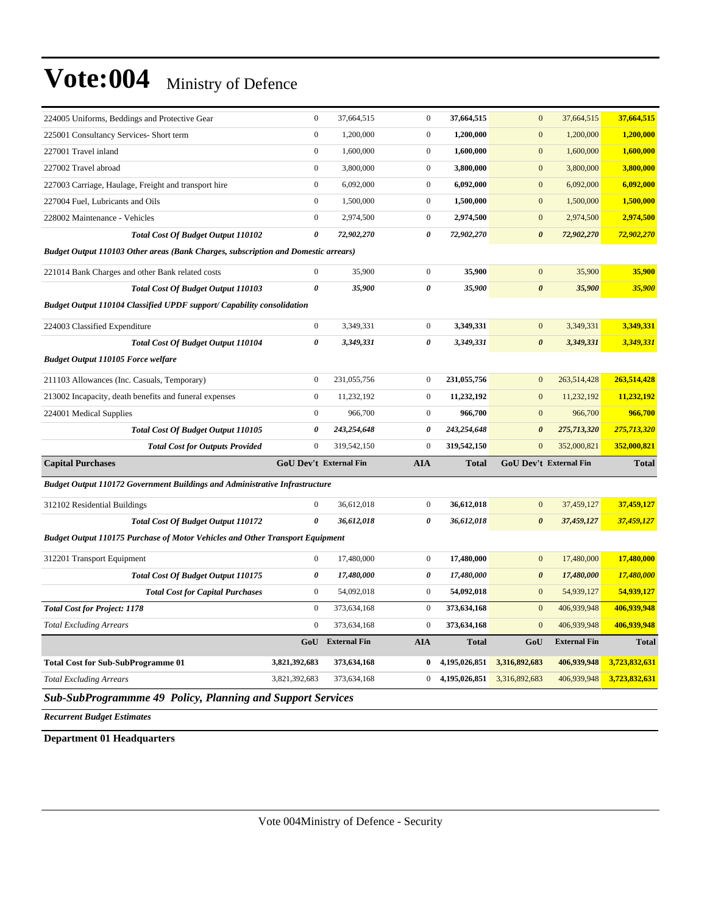| 224005 Uniforms, Beddings and Protective Gear                                        | $\boldsymbol{0}$      | 37,664,515             | $\boldsymbol{0}$      | 37,664,515    | $\mathbf{0}$          | 37,664,515             | 37,664,515    |
|--------------------------------------------------------------------------------------|-----------------------|------------------------|-----------------------|---------------|-----------------------|------------------------|---------------|
| 225001 Consultancy Services- Short term                                              | $\boldsymbol{0}$      | 1,200,000              | $\boldsymbol{0}$      | 1,200,000     | $\mathbf{0}$          | 1,200,000              | 1,200,000     |
| 227001 Travel inland                                                                 | $\mathbf{0}$          | 1,600,000              | $\overline{0}$        | 1,600,000     | $\mathbf{0}$          | 1,600,000              | 1,600,000     |
| 227002 Travel abroad                                                                 | $\mathbf{0}$          | 3,800,000              | $\boldsymbol{0}$      | 3,800,000     | $\mathbf{0}$          | 3,800,000              | 3,800,000     |
| 227003 Carriage, Haulage, Freight and transport hire                                 | $\mathbf{0}$          | 6,092,000              | $\mathbf{0}$          | 6,092,000     | $\boldsymbol{0}$      | 6,092,000              | 6,092,000     |
| 227004 Fuel, Lubricants and Oils                                                     | $\mathbf{0}$          | 1,500,000              | $\boldsymbol{0}$      | 1,500,000     | $\mathbf{0}$          | 1,500,000              | 1,500,000     |
| 228002 Maintenance - Vehicles                                                        | $\boldsymbol{0}$      | 2,974,500              | $\boldsymbol{0}$      | 2,974,500     | $\mathbf{0}$          | 2,974,500              | 2,974,500     |
| Total Cost Of Budget Output 110102                                                   | $\boldsymbol{\theta}$ | 72,902,270             | 0                     | 72,902,270    | $\boldsymbol{\theta}$ | 72,902,270             | 72,902,270    |
| Budget Output 110103 Other areas (Bank Charges, subscription and Domestic arrears)   |                       |                        |                       |               |                       |                        |               |
| 221014 Bank Charges and other Bank related costs                                     | $\mathbf{0}$          | 35,900                 | $\mathbf{0}$          | 35,900        | $\mathbf{0}$          | 35,900                 | 35,900        |
| Total Cost Of Budget Output 110103                                                   | $\boldsymbol{\theta}$ | 35,900                 | $\boldsymbol{\theta}$ | 35,900        | $\boldsymbol{\theta}$ | 35,900                 | 35,900        |
| <b>Budget Output 110104 Classified UPDF support/ Capability consolidation</b>        |                       |                        |                       |               |                       |                        |               |
| 224003 Classified Expenditure                                                        | $\boldsymbol{0}$      | 3,349,331              | $\overline{0}$        | 3,349,331     | $\bf{0}$              | 3,349,331              | 3,349,331     |
| <b>Total Cost Of Budget Output 110104</b>                                            | $\boldsymbol{\theta}$ | 3,349,331              | $\theta$              | 3,349,331     | $\boldsymbol{\theta}$ | 3,349,331              | 3,349,331     |
| <b>Budget Output 110105 Force welfare</b>                                            |                       |                        |                       |               |                       |                        |               |
| 211103 Allowances (Inc. Casuals, Temporary)                                          | $\mathbf{0}$          | 231,055,756            | $\mathbf{0}$          | 231,055,756   | $\boldsymbol{0}$      | 263,514,428            | 263,514,428   |
| 213002 Incapacity, death benefits and funeral expenses                               | $\mathbf{0}$          | 11,232,192             | $\boldsymbol{0}$      | 11,232,192    | $\mathbf{0}$          | 11,232,192             | 11,232,192    |
| 224001 Medical Supplies                                                              | $\mathbf{0}$          | 966,700                | $\mathbf{0}$          | 966,700       | $\mathbf{0}$          | 966,700                | 966,700       |
| Total Cost Of Budget Output 110105                                                   | $\boldsymbol{\theta}$ | 243,254,648            | $\boldsymbol{\theta}$ | 243,254,648   | $\boldsymbol{\theta}$ | 275,713,320            | 275,713,320   |
| <b>Total Cost for Outputs Provided</b>                                               | $\mathbf{0}$          | 319,542,150            | $\mathbf{0}$          | 319,542,150   | $\mathbf{0}$          | 352,000,821            | 352,000,821   |
| <b>Capital Purchases</b>                                                             |                       | GoU Dev't External Fin | <b>AIA</b>            | <b>Total</b>  |                       | GoU Dev't External Fin | <b>Total</b>  |
| <b>Budget Output 110172 Government Buildings and Administrative Infrastructure</b>   |                       |                        |                       |               |                       |                        |               |
| 312102 Residential Buildings                                                         | $\boldsymbol{0}$      | 36,612,018             | $\boldsymbol{0}$      | 36,612,018    | $\mathbf{0}$          | 37,459,127             | 37,459,127    |
| <b>Total Cost Of Budget Output 110172</b>                                            | $\boldsymbol{\theta}$ | 36,612,018             | $\theta$              | 36,612,018    | $\boldsymbol{\theta}$ | 37,459,127             | 37,459,127    |
| <b>Budget Output 110175 Purchase of Motor Vehicles and Other Transport Equipment</b> |                       |                        |                       |               |                       |                        |               |
|                                                                                      |                       |                        |                       |               |                       |                        |               |
| 312201 Transport Equipment                                                           | $\boldsymbol{0}$      | 17,480,000             | $\boldsymbol{0}$      | 17,480,000    | $\mathbf{0}$          | 17,480,000             | 17,480,000    |
| Total Cost Of Budget Output 110175                                                   | 0                     | 17,480,000             | 0                     | 17,480,000    | $\boldsymbol{\theta}$ | 17,480,000             | 17,480,000    |
| <b>Total Cost for Capital Purchases</b>                                              | $\mathbf{0}$          | 54,092,018             | $\mathbf{0}$          | 54,092,018    | $\mathbf{0}$          | 54,939,127             | 54,939,127    |
| <b>Total Cost for Project: 1178</b>                                                  | $\mathbf{0}$          | 373,634,168            | $\boldsymbol{0}$      | 373,634,168   | $\mathbf{0}$          | 406,939,948            | 406,939,948   |
| <b>Total Excluding Arrears</b>                                                       | $\boldsymbol{0}$      | 373,634,168            | $\boldsymbol{0}$      | 373,634,168   | $\mathbf{0}$          | 406,939,948            | 406,939,948   |
|                                                                                      | GoU                   | <b>External Fin</b>    | <b>AIA</b>            | <b>Total</b>  | GoU                   | <b>External Fin</b>    | <b>Total</b>  |
| <b>Total Cost for Sub-SubProgramme 01</b>                                            | 3,821,392,683         | 373,634,168            | $\bf{0}$              | 4,195,026,851 | 3,316,892,683         | 406,939,948            | 3,723,832,631 |
| <b>Total Excluding Arrears</b>                                                       | 3,821,392,683         | 373,634,168            | $\overline{0}$        | 4,195,026,851 | 3,316,892,683         | 406,939,948            | 3,723,832,631 |
|                                                                                      |                       |                        |                       |               |                       |                        |               |

*Sub-SubProgrammme 49 Policy, Planning and Support Services*

*Recurrent Budget Estimates*

**Department 01 Headquarters**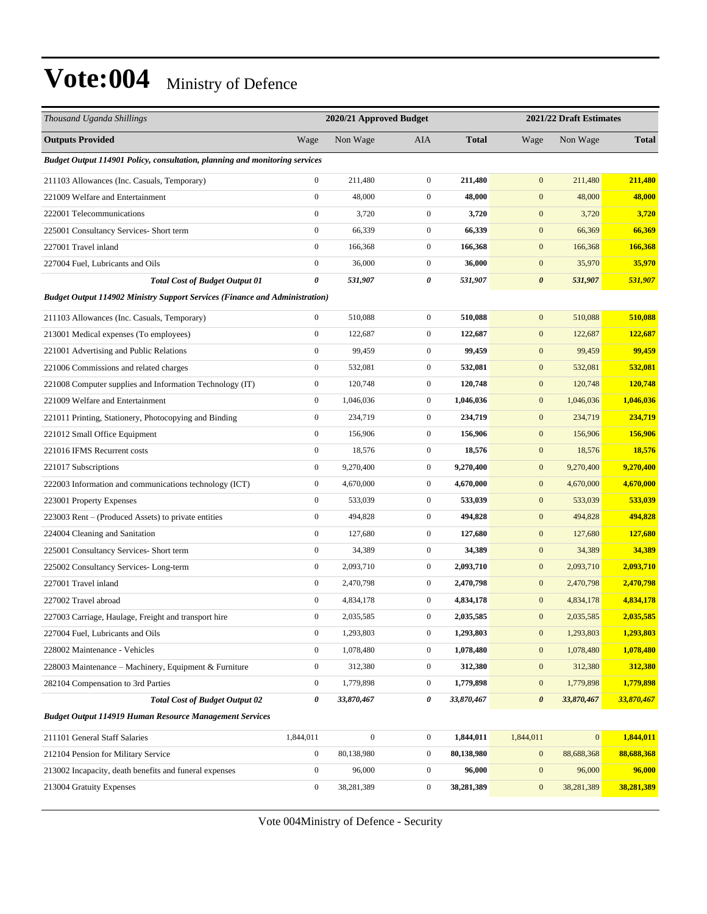| Thousand Uganda Shillings                                                          |                       | 2020/21 Approved Budget |                  |              |                       | 2021/22 Draft Estimates |                |
|------------------------------------------------------------------------------------|-----------------------|-------------------------|------------------|--------------|-----------------------|-------------------------|----------------|
| <b>Outputs Provided</b>                                                            | Wage                  | Non Wage                | AIA              | <b>Total</b> | Wage                  | Non Wage                | <b>Total</b>   |
| Budget Output 114901 Policy, consultation, planning and monitoring services        |                       |                         |                  |              |                       |                         |                |
| 211103 Allowances (Inc. Casuals, Temporary)                                        | $\boldsymbol{0}$      | 211,480                 | $\boldsymbol{0}$ | 211,480      | $\mathbf{0}$          | 211,480                 | 211,480        |
| 221009 Welfare and Entertainment                                                   | $\boldsymbol{0}$      | 48,000                  | $\mathbf{0}$     | 48,000       | $\mathbf{0}$          | 48,000                  | 48,000         |
| 222001 Telecommunications                                                          | $\boldsymbol{0}$      | 3,720                   | $\mathbf{0}$     | 3,720        | $\mathbf{0}$          | 3,720                   | 3,720          |
| 225001 Consultancy Services- Short term                                            | $\boldsymbol{0}$      | 66,339                  | $\boldsymbol{0}$ | 66,339       | $\boldsymbol{0}$      | 66,369                  | 66,369         |
| 227001 Travel inland                                                               | $\boldsymbol{0}$      | 166,368                 | $\mathbf{0}$     | 166,368      | $\mathbf{0}$          | 166,368                 | 166,368        |
| 227004 Fuel, Lubricants and Oils                                                   | $\boldsymbol{0}$      | 36,000                  | $\mathbf{0}$     | 36,000       | $\boldsymbol{0}$      | 35,970                  | 35,970         |
| <b>Total Cost of Budget Output 01</b>                                              | $\boldsymbol{\theta}$ | 531,907                 | 0                | 531,907      | $\boldsymbol{\theta}$ | 531,907                 | 531,907        |
| <b>Budget Output 114902 Ministry Support Services (Finance and Administration)</b> |                       |                         |                  |              |                       |                         |                |
| 211103 Allowances (Inc. Casuals, Temporary)                                        | $\boldsymbol{0}$      | 510,088                 | $\boldsymbol{0}$ | 510,088      | $\mathbf{0}$          | 510,088                 | 510,088        |
| 213001 Medical expenses (To employees)                                             | $\mathbf{0}$          | 122,687                 | $\mathbf{0}$     | 122,687      | $\mathbf{0}$          | 122,687                 | 122,687        |
| 221001 Advertising and Public Relations                                            | $\boldsymbol{0}$      | 99,459                  | $\mathbf{0}$     | 99,459       | $\mathbf{0}$          | 99,459                  | 99,459         |
| 221006 Commissions and related charges                                             | $\boldsymbol{0}$      | 532,081                 | $\mathbf{0}$     | 532,081      | $\boldsymbol{0}$      | 532,081                 | 532,081        |
| 221008 Computer supplies and Information Technology (IT)                           | $\boldsymbol{0}$      | 120,748                 | $\boldsymbol{0}$ | 120,748      | $\boldsymbol{0}$      | 120,748                 | 120,748        |
| 221009 Welfare and Entertainment                                                   | $\boldsymbol{0}$      | 1,046,036               | $\boldsymbol{0}$ | 1,046,036    | $\mathbf{0}$          | 1,046,036               | 1,046,036      |
| 221011 Printing, Stationery, Photocopying and Binding                              | $\boldsymbol{0}$      | 234,719                 | $\mathbf{0}$     | 234,719      | $\mathbf{0}$          | 234,719                 | 234,719        |
| 221012 Small Office Equipment                                                      | $\boldsymbol{0}$      | 156,906                 | $\mathbf{0}$     | 156,906      | $\mathbf{0}$          | 156,906                 | 156,906        |
| 221016 IFMS Recurrent costs                                                        | $\boldsymbol{0}$      | 18,576                  | $\boldsymbol{0}$ | 18,576       | $\boldsymbol{0}$      | 18,576                  | 18,576         |
| 221017 Subscriptions                                                               | $\boldsymbol{0}$      | 9,270,400               | $\mathbf{0}$     | 9,270,400    | $\boldsymbol{0}$      | 9,270,400               | 9,270,400      |
| 222003 Information and communications technology (ICT)                             | $\boldsymbol{0}$      | 4,670,000               | $\mathbf{0}$     | 4,670,000    | $\boldsymbol{0}$      | 4,670,000               | 4,670,000      |
| 223001 Property Expenses                                                           | $\boldsymbol{0}$      | 533,039                 | $\mathbf{0}$     | 533,039      | $\mathbf{0}$          | 533,039                 | 533,039        |
| 223003 Rent - (Produced Assets) to private entities                                | $\boldsymbol{0}$      | 494,828                 | $\mathbf{0}$     | 494,828      | $\mathbf{0}$          | 494,828                 | 494,828        |
| 224004 Cleaning and Sanitation                                                     | $\boldsymbol{0}$      | 127,680                 | $\mathbf{0}$     | 127,680      | $\boldsymbol{0}$      | 127,680                 | <b>127,680</b> |
| 225001 Consultancy Services- Short term                                            | $\boldsymbol{0}$      | 34,389                  | $\boldsymbol{0}$ | 34,389       | $\boldsymbol{0}$      | 34,389                  | 34,389         |
| 225002 Consultancy Services-Long-term                                              | $\boldsymbol{0}$      | 2,093,710               | $\boldsymbol{0}$ | 2,093,710    | $\boldsymbol{0}$      | 2,093,710               | 2,093,710      |
| 227001 Travel inland                                                               | $\boldsymbol{0}$      | 2,470,798               | $\boldsymbol{0}$ | 2,470,798    | $\boldsymbol{0}$      | 2,470,798               | 2,470,798      |
| 227002 Travel abroad                                                               | $\boldsymbol{0}$      | 4,834,178               | $\mathbf{0}$     | 4,834,178    | $\mathbf{0}$          | 4,834,178               | 4,834,178      |
| 227003 Carriage, Haulage, Freight and transport hire                               | $\boldsymbol{0}$      | 2,035,585               | $\mathbf{0}$     | 2,035,585    | $\mathbf{0}$          | 2,035,585               | 2,035,585      |
| 227004 Fuel, Lubricants and Oils                                                   | $\boldsymbol{0}$      | 1,293,803               | $\boldsymbol{0}$ | 1,293,803    | $\boldsymbol{0}$      | 1,293,803               | 1,293,803      |
| 228002 Maintenance - Vehicles                                                      | $\boldsymbol{0}$      | 1,078,480               | $\boldsymbol{0}$ | 1,078,480    | $\boldsymbol{0}$      | 1,078,480               | 1,078,480      |
| 228003 Maintenance – Machinery, Equipment & Furniture                              | $\boldsymbol{0}$      | 312,380                 | $\boldsymbol{0}$ | 312,380      | $\boldsymbol{0}$      | 312,380                 | 312,380        |
| 282104 Compensation to 3rd Parties                                                 | $\boldsymbol{0}$      | 1,779,898               | $\boldsymbol{0}$ | 1,779,898    | $\boldsymbol{0}$      | 1,779,898               | 1,779,898      |
| <b>Total Cost of Budget Output 02</b>                                              | 0                     | 33,870,467              | 0                | 33,870,467   | $\boldsymbol{\theta}$ | 33,870,467              | 33,870,467     |
| <b>Budget Output 114919 Human Resource Management Services</b>                     |                       |                         |                  |              |                       |                         |                |
| 211101 General Staff Salaries                                                      | 1,844,011             | $\boldsymbol{0}$        | $\boldsymbol{0}$ | 1,844,011    | 1,844,011             | 0                       | 1,844,011      |
| 212104 Pension for Military Service                                                | $\boldsymbol{0}$      | 80,138,980              | $\boldsymbol{0}$ | 80,138,980   | $\boldsymbol{0}$      | 88,688,368              | 88,688,368     |
| 213002 Incapacity, death benefits and funeral expenses                             | $\boldsymbol{0}$      | 96,000                  | $\boldsymbol{0}$ | 96,000       | $\boldsymbol{0}$      | 96,000                  | 96,000         |
| 213004 Gratuity Expenses                                                           | $\boldsymbol{0}$      | 38,281,389              | $\boldsymbol{0}$ | 38,281,389   | $\boldsymbol{0}$      | 38,281,389              | 38,281,389     |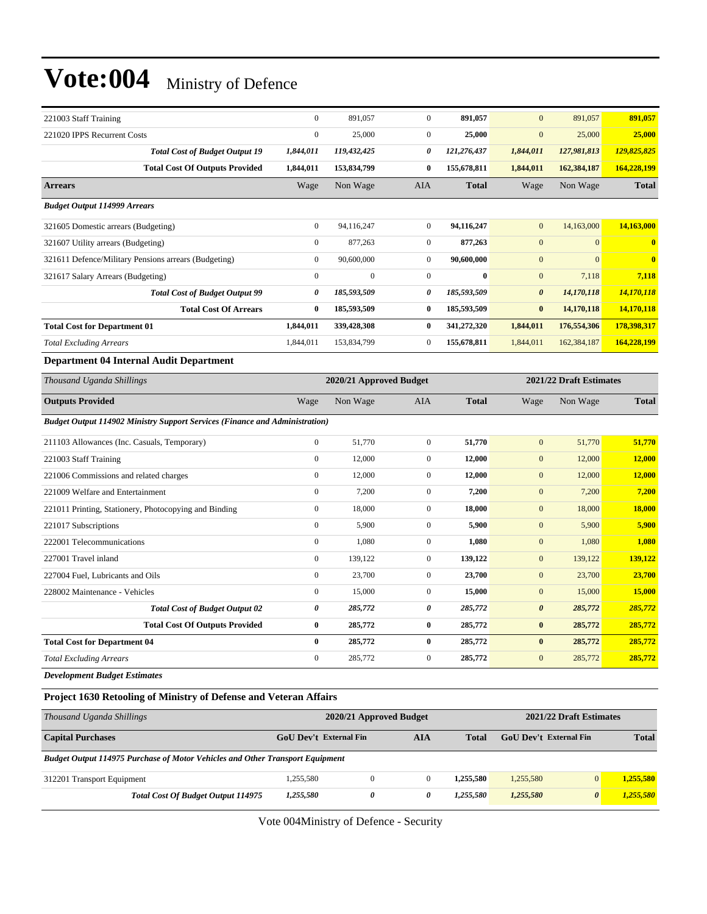| 221003 Staff Training                                                              | $\mathbf{0}$     | 891,057                 | $\mathbf{0}$     | 891,057      | $\overline{0}$        | 891,057                 | 891,057                 |
|------------------------------------------------------------------------------------|------------------|-------------------------|------------------|--------------|-----------------------|-------------------------|-------------------------|
| 221020 IPPS Recurrent Costs                                                        | $\boldsymbol{0}$ | 25,000                  | $\boldsymbol{0}$ | 25,000       | $\mathbf{0}$          | 25,000                  | 25,000                  |
| <b>Total Cost of Budget Output 19</b>                                              | 1,844,011        | 119,432,425             | 0                | 121,276,437  | 1,844,011             | 127,981,813             | 129,825,825             |
| <b>Total Cost Of Outputs Provided</b>                                              | 1,844,011        | 153,834,799             | $\bf{0}$         | 155,678,811  | 1,844,011             | 162,384,187             | 164,228,199             |
| <b>Arrears</b>                                                                     | Wage             | Non Wage                | AIA              | <b>Total</b> | Wage                  | Non Wage                | <b>Total</b>            |
| <b>Budget Output 114999 Arrears</b>                                                |                  |                         |                  |              |                       |                         |                         |
| 321605 Domestic arrears (Budgeting)                                                | $\boldsymbol{0}$ | 94,116,247              | $\overline{0}$   | 94,116,247   | $\mathbf{0}$          | 14,163,000              | 14,163,000              |
| 321607 Utility arrears (Budgeting)                                                 | $\boldsymbol{0}$ | 877,263                 | $\overline{0}$   | 877,263      | $\mathbf{0}$          | $\mathbf{0}$            | $\bf{0}$                |
| 321611 Defence/Military Pensions arrears (Budgeting)                               | $\boldsymbol{0}$ | 90,600,000              | $\boldsymbol{0}$ | 90,600,000   | $\boldsymbol{0}$      | $\overline{0}$          | $\overline{\mathbf{0}}$ |
| 321617 Salary Arrears (Budgeting)                                                  | $\boldsymbol{0}$ | $\boldsymbol{0}$        | $\mathbf{0}$     | $\bf{0}$     | $\mathbf{0}$          | 7,118                   | 7,118                   |
| <b>Total Cost of Budget Output 99</b>                                              | 0                | 185,593,509             | 0                | 185,593,509  | $\boldsymbol{\theta}$ | 14,170,118              | 14,170,118              |
| <b>Total Cost Of Arrears</b>                                                       | $\bf{0}$         | 185,593,509             | $\bf{0}$         | 185,593,509  | $\bf{0}$              | 14,170,118              | 14,170,118              |
| <b>Total Cost for Department 01</b>                                                | 1,844,011        | 339,428,308             | $\bf{0}$         | 341,272,320  | 1,844,011             | 176,554,306             | 178,398,317             |
| <b>Total Excluding Arrears</b>                                                     | 1,844,011        | 153,834,799             | $\overline{0}$   | 155,678,811  | 1,844,011             | 162,384,187             | 164,228,199             |
| Department 04 Internal Audit Department                                            |                  |                         |                  |              |                       |                         |                         |
| Thousand Uganda Shillings                                                          |                  | 2020/21 Approved Budget |                  |              |                       | 2021/22 Draft Estimates |                         |
| <b>Outputs Provided</b>                                                            | Wage             | Non Wage                | AIA              | <b>Total</b> | Wage                  | Non Wage                | <b>Total</b>            |
| <b>Budget Output 114902 Ministry Support Services (Finance and Administration)</b> |                  |                         |                  |              |                       |                         |                         |
| 211103 Allowances (Inc. Casuals, Temporary)                                        | $\boldsymbol{0}$ | 51,770                  | $\boldsymbol{0}$ | 51,770       | $\mathbf{0}$          | 51,770                  | 51,770                  |
| 221003 Staff Training                                                              | $\boldsymbol{0}$ | 12,000                  | $\boldsymbol{0}$ | 12,000       | $\boldsymbol{0}$      | 12,000                  | 12,000                  |
| 221006 Commissions and related charges                                             | $\mathbf{0}$     | 12,000                  | $\mathbf{0}$     | 12,000       | $\boldsymbol{0}$      | 12,000                  | 12,000                  |
| 221009 Welfare and Entertainment                                                   | $\mathbf{0}$     | 7,200                   | $\boldsymbol{0}$ | 7,200        | $\boldsymbol{0}$      | 7,200                   | 7,200                   |
| 221011 Printing, Stationery, Photocopying and Binding                              | $\boldsymbol{0}$ | 18,000                  | $\boldsymbol{0}$ | 18,000       | $\boldsymbol{0}$      | 18,000                  | 18,000                  |
| 221017 Subscriptions                                                               | $\boldsymbol{0}$ | 5,900                   | $\boldsymbol{0}$ | 5,900        | $\boldsymbol{0}$      | 5,900                   | 5,900                   |
| 222001 Telecommunications                                                          | $\mathbf{0}$     | 1,080                   | $\overline{0}$   | 1,080        | $\mathbf{0}$          | 1,080                   | 1,080                   |
| 227001 Travel inland                                                               | $\boldsymbol{0}$ | 139,122                 | $\boldsymbol{0}$ | 139,122      | $\boldsymbol{0}$      | 139,122                 | 139,122                 |
| 227004 Fuel, Lubricants and Oils                                                   | $\boldsymbol{0}$ | 23,700                  | $\overline{0}$   | 23,700       | $\mathbf{0}$          | 23,700                  | 23,700                  |
| 228002 Maintenance - Vehicles                                                      | $\mathbf{0}$     | 15,000                  | $\overline{0}$   | 15,000       | $\boldsymbol{0}$      | 15,000                  | 15,000                  |
| <b>Total Cost of Budget Output 02</b>                                              | 0                | 285,772                 | 0                | 285,772      | $\boldsymbol{\theta}$ | 285,772                 | 285,772                 |
| <b>Total Cost Of Outputs Provided</b>                                              | $\bf{0}$         | 285,772                 | $\bf{0}$         | 285,772      | $\pmb{0}$             | 285,772                 | 285,772                 |
| <b>Total Cost for Department 04</b>                                                | $\bf{0}$         | 285,772                 | $\bf{0}$         | 285,772      | $\bf{0}$              | 285,772                 | 285,772                 |
| <b>Total Excluding Arrears</b>                                                     | $\mathbf{0}$     | 285,772                 | $\overline{0}$   | 285,772      | $\boldsymbol{0}$      | 285,772                 | 285,772                 |
| <b>Development Budget Estimates</b>                                                |                  |                         |                  |              |                       |                         |                         |
| <b>Project 1630 Retooling of Ministry of Defense and Veteran Affairs</b>           |                  |                         |                  |              |                       |                         |                         |

| Thousand Uganda Shillings                                                            |                        | 2020/21 Approved Budget | 2021/22 Draft Estimates |           |                               |          |              |
|--------------------------------------------------------------------------------------|------------------------|-------------------------|-------------------------|-----------|-------------------------------|----------|--------------|
| <b>Capital Purchases</b>                                                             | GoU Dev't External Fin |                         | AIA                     | Total     | <b>GoU</b> Dev't External Fin |          | <b>Total</b> |
| <b>Budget Output 114975 Purchase of Motor Vehicles and Other Transport Equipment</b> |                        |                         |                         |           |                               |          |              |
| 312201 Transport Equipment                                                           | 1.255.580              | $\Omega$                | $\Omega$                | 1.255.580 | 1.255,580                     | $\Omega$ | 1.255.580    |
| <b>Total Cost Of Budget Output 114975</b>                                            | 1,255,580              | 0                       | 0                       | 1.255.580 | 1,255,580                     | $\theta$ | 1,255,580    |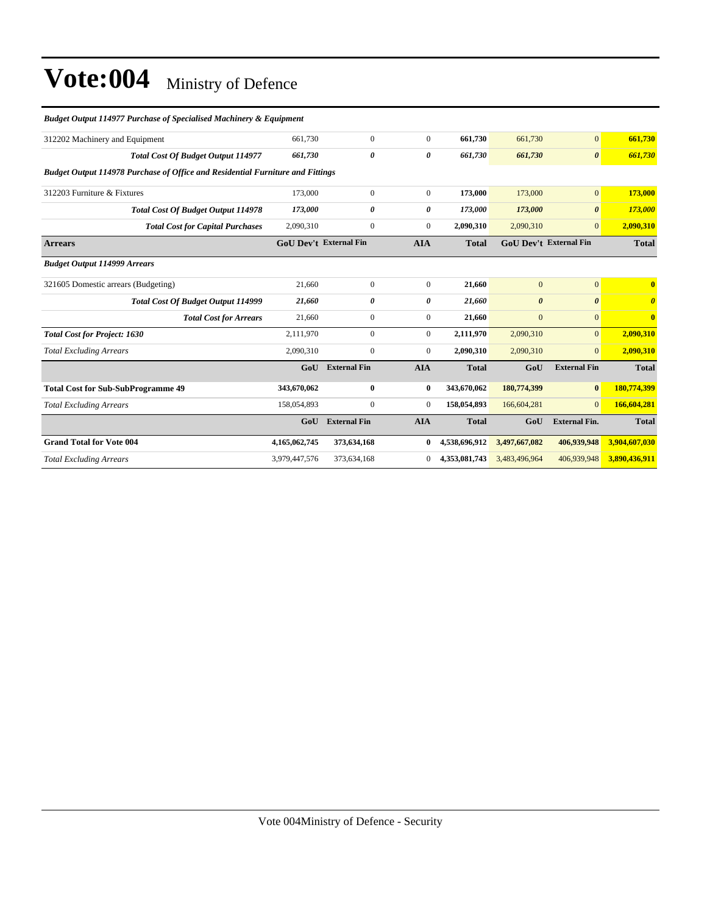| <b>Budget Output 114977 Purchase of Specialised Machinery &amp; Equipment</b> |                       |                                                                                                                        |               |                       |                       |                               |
|-------------------------------------------------------------------------------|-----------------------|------------------------------------------------------------------------------------------------------------------------|---------------|-----------------------|-----------------------|-------------------------------|
| 661.730                                                                       | $\mathbf{0}$          | $\mathbf{0}$                                                                                                           | 661.730       | 661,730               | $\overline{0}$        | 661,730                       |
| 661,730                                                                       | $\boldsymbol{\theta}$ | 0                                                                                                                      | 661,730       | 661,730               | $\boldsymbol{\theta}$ | 661,730                       |
|                                                                               |                       |                                                                                                                        |               |                       |                       |                               |
| 173,000                                                                       | $\mathbf{0}$          | $\boldsymbol{0}$                                                                                                       | 173,000       | 173,000               | $\mathbf{0}$          | 173,000                       |
| 173,000                                                                       | $\theta$              | 0                                                                                                                      | 173,000       | 173,000               | $\boldsymbol{\theta}$ | 173,000                       |
| 2,090,310                                                                     | $\boldsymbol{0}$      | $\overline{0}$                                                                                                         | 2,090,310     | 2,090,310             | $\overline{0}$        | 2,090,310                     |
|                                                                               |                       | <b>AIA</b>                                                                                                             | <b>Total</b>  |                       |                       | <b>Total</b>                  |
|                                                                               |                       |                                                                                                                        |               |                       |                       |                               |
| 21.660                                                                        | $\mathbf{0}$          | $\mathbf{0}$                                                                                                           | 21,660        | $\mathbf{0}$          | $\overline{0}$        | $\mathbf{0}$                  |
| 21,660                                                                        | 0                     | 0                                                                                                                      | 21,660        | $\boldsymbol{\theta}$ | $\boldsymbol{\theta}$ | $\boldsymbol{\theta}$         |
| 21,660                                                                        | $\mathbf{0}$          | $\overline{0}$                                                                                                         | 21,660        | $\mathbf{0}$          | $\overline{0}$        | $\overline{\mathbf{0}}$       |
| 2,111,970                                                                     | $\mathbf{0}$          | $\overline{0}$                                                                                                         | 2,111,970     | 2,090,310             | $\overline{0}$        | 2,090,310                     |
| 2,090,310                                                                     | $\mathbf{0}$          | $\overline{0}$                                                                                                         | 2,090,310     | 2,090,310             | $\overline{0}$        | 2,090,310                     |
| GoU                                                                           | <b>External Fin</b>   | <b>AIA</b>                                                                                                             | <b>Total</b>  | GoU                   | <b>External Fin</b>   | <b>Total</b>                  |
| 343,670,062                                                                   | $\bf{0}$              | $\bf{0}$                                                                                                               | 343,670,062   | 180,774,399           | $\bf{0}$              | 180,774,399                   |
| 158,054,893                                                                   | $\boldsymbol{0}$      | $\overline{0}$                                                                                                         | 158,054,893   | 166,604,281           | $\Omega$              | 166,604,281                   |
| GoU                                                                           | <b>External Fin</b>   | <b>AIA</b>                                                                                                             | <b>Total</b>  | GoU                   | <b>External Fin.</b>  | <b>Total</b>                  |
| 4,165,062,745                                                                 | 373,634,168           | $\bf{0}$                                                                                                               | 4,538,696,912 | 3,497,667,082         | 406,939,948           | 3,904,607,030                 |
| 3,979,447,576                                                                 | 373,634,168           | $\overline{0}$                                                                                                         | 4,353,081,743 | 3,483,496,964         | 406,939,948           | 3,890,436,911                 |
|                                                                               |                       | <b>Budget Output 114978 Purchase of Office and Residential Furniture and Fittings</b><br><b>GoU Dev't External Fin</b> |               |                       |                       | <b>GoU Dev't External Fin</b> |